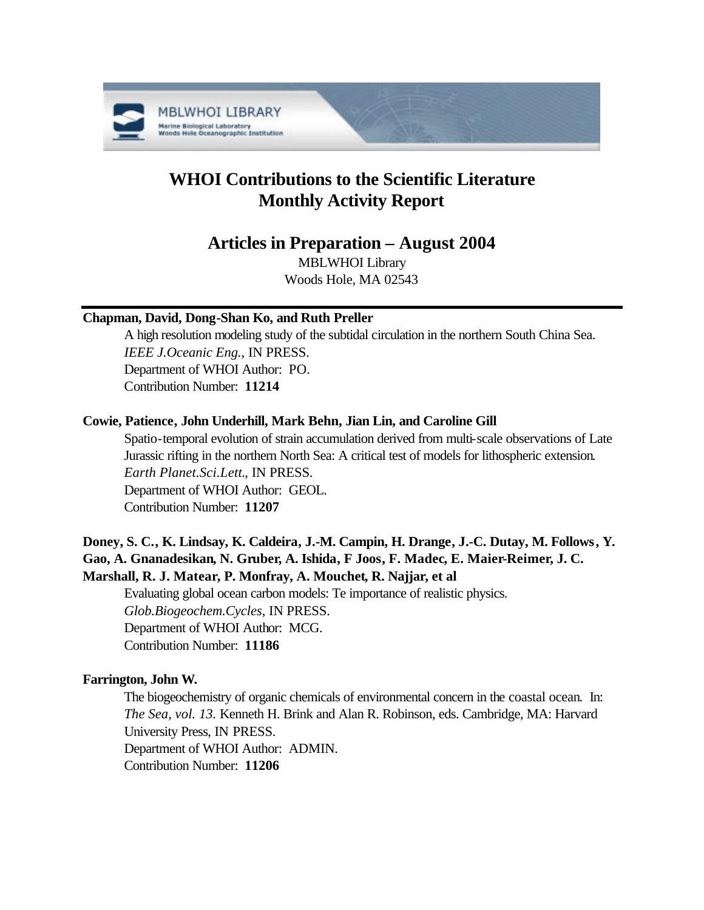

# **WHOI Contributions to the Scientific Literature Monthly Activity Report**

# **Articles in Preparation – August 2004**

MBLWHOI Library Woods Hole, MA 02543

# **Chapman, David, Dong-Shan Ko, and Ruth Preller**

A high resolution modeling study of the subtidal circulation in the northern South China Sea. *IEEE J.Oceanic Eng.*, IN PRESS. Department of WHOI Author: PO. Contribution Number: **11214**

# **Cowie, Patience, John Underhill, Mark Behn, Jian Lin, and Caroline Gill**

Spatio-temporal evolution of strain accumulation derived from multi-scale observations of Late Jurassic rifting in the northern North Sea: A critical test of models for lithospheric extension. *Earth Planet.Sci.Lett.*, IN PRESS. Department of WHOI Author: GEOL. Contribution Number: **11207**

# **Doney, S. C., K. Lindsay, K. Caldeira, J.-M. Campin, H. Drange, J.-C. Dutay, M. Follows, Y. Gao, A. Gnanadesikan, N. Gruber, A. Ishida, F Joos, F. Madec, E. Maier-Reimer, J. C. Marshall, R. J. Matear, P. Monfray, A. Mouchet, R. Najjar, et al**

Evaluating global ocean carbon models: Te importance of realistic physics. *Glob.Biogeochem.Cycles*, IN PRESS. Department of WHOI Author: MCG. Contribution Number: **11186**

# **Farrington, John W.**

The biogeochemistry of organic chemicals of environmental concern in the coastal ocean. In: *The Sea, vol. 13.* Kenneth H. Brink and Alan R. Robinson, eds. Cambridge, MA: Harvard University Press, IN PRESS. Department of WHOI Author: ADMIN. Contribution Number: **11206**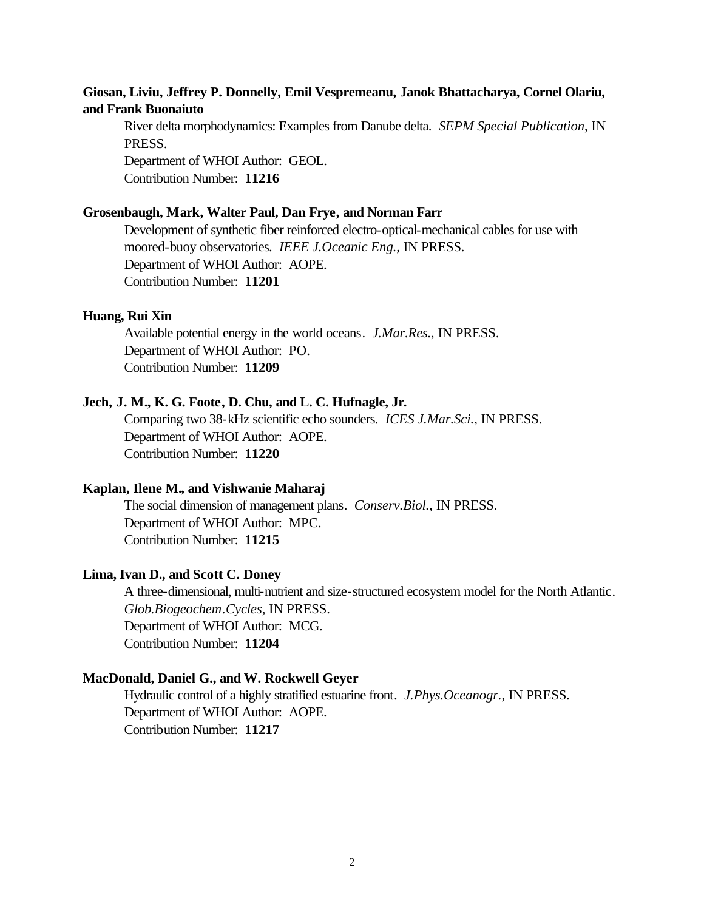## **Giosan, Liviu, Jeffrey P. Donnelly, Emil Vespremeanu, Janok Bhattacharya, Cornel Olariu, and Frank Buonaiuto**

River delta morphodynamics: Examples from Danube delta. *SEPM Special Publication*, IN PRESS.

Department of WHOI Author: GEOL. Contribution Number: **11216**

#### **Grosenbaugh, Mark, Walter Paul, Dan Frye, and Norman Farr**

Development of synthetic fiber reinforced electro-optical-mechanical cables for use with moored-buoy observatories. *IEEE J.Oceanic Eng.*, IN PRESS. Department of WHOI Author: AOPE. Contribution Number: **11201**

#### **Huang, Rui Xin**

Available potential energy in the world oceans. *J.Mar.Res.*, IN PRESS. Department of WHOI Author: PO. Contribution Number: **11209**

#### **Jech, J. M., K. G. Foote, D. Chu, and L. C. Hufnagle, Jr.**

Comparing two 38-kHz scientific echo sounders. *ICES J.Mar.Sci.*, IN PRESS. Department of WHOI Author: AOPE. Contribution Number: **11220**

#### **Kaplan, Ilene M., and Vishwanie Maharaj**

The social dimension of management plans. *Conserv.Biol.*, IN PRESS. Department of WHOI Author: MPC. Contribution Number: **11215**

#### **Lima, Ivan D., and Scott C. Doney**

A three-dimensional, multi-nutrient and size-structured ecosystem model for the North Atlantic. *Glob.Biogeochem.Cycles*, IN PRESS. Department of WHOI Author: MCG. Contribution Number: **11204**

#### **MacDonald, Daniel G., and W. Rockwell Geyer**

Hydraulic control of a highly stratified estuarine front. *J.Phys.Oceanogr.*, IN PRESS. Department of WHOI Author: AOPE. Contribution Number: **11217**